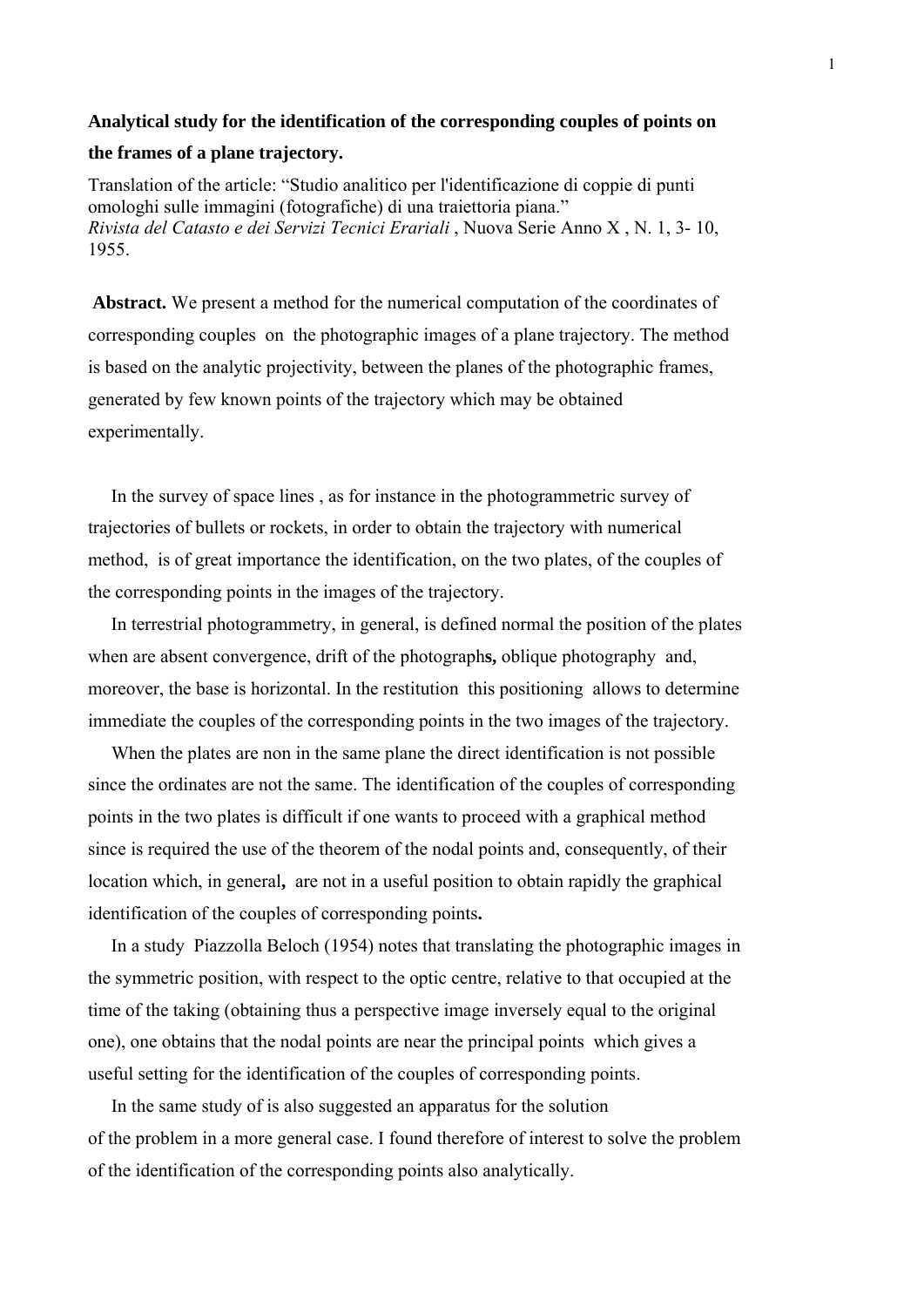## **Analytical study for the identification of the corresponding couples of points on**

## **the frames of a plane trajectory.**

Translation of the article: "Studio analitico per l'identificazione di coppie di punti omologhi sulle immagini (fotografiche) di una traiettoria piana." *Rivista del Catasto e dei Servizi Tecnici Erariali* , Nuova Serie Anno X , N. 1, 3- 10, 1955.

 **Abstract.** We present a method for the numerical computation of the coordinates of corresponding couples on the photographic images of a plane trajectory. The method is based on the analytic projectivity, between the planes of the photographic frames, generated by few known points of the trajectory which may be obtained experimentally.

 In the survey of space lines , as for instance in the photogrammetric survey of trajectories of bullets or rockets, in order to obtain the trajectory with numerical method, is of great importance the identification, on the two plates, of the couples of the corresponding points in the images of the trajectory.

 In terrestrial photogrammetry, in general, is defined normal the position of the plates when are absent convergence, drift of the photograph**s,** oblique photography and, moreover, the base is horizontal. In the restitution this positioning allows to determine immediate the couples of the corresponding points in the two images of the trajectory.

 When the plates are non in the same plane the direct identification is not possible since the ordinates are not the same. The identification of the couples of corresponding points in the two plates is difficult if one wants to proceed with a graphical method since is required the use of the theorem of the nodal points and, consequently, of their location which, in general**,** are not in a useful position to obtain rapidly the graphical identification of the couples of corresponding points**.** 

 In a study Piazzolla Beloch (1954) notes that translating the photographic images in the symmetric position, with respect to the optic centre, relative to that occupied at the time of the taking (obtaining thus a perspective image inversely equal to the original one), one obtains that the nodal points are near the principal points which gives a useful setting for the identification of the couples of corresponding points.

 In the same study of is also suggested an apparatus for the solution of the problem in a more general case. I found therefore of interest to solve the problem of the identification of the corresponding points also analytically.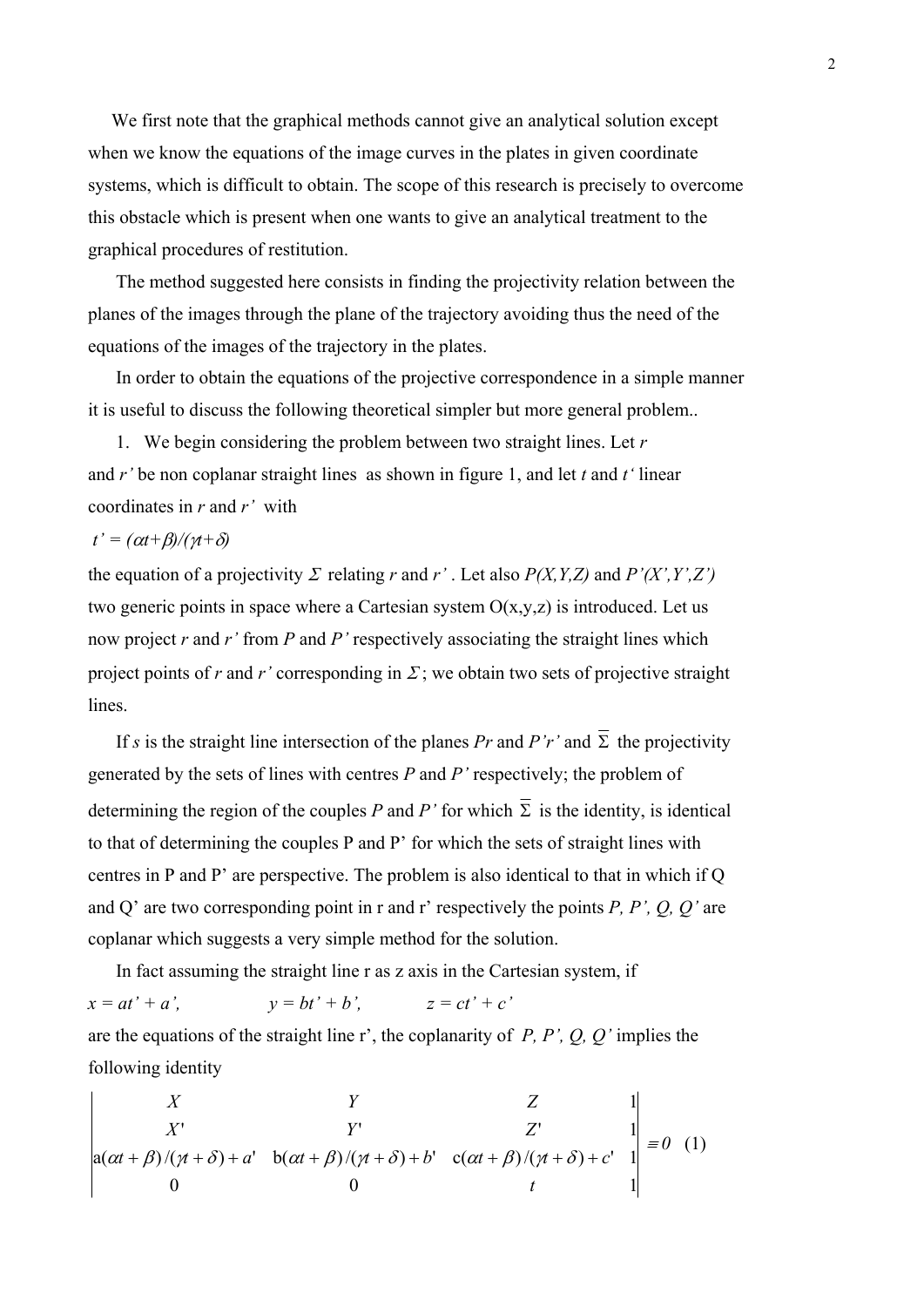We first note that the graphical methods cannot give an analytical solution except when we know the equations of the image curves in the plates in given coordinate systems, which is difficult to obtain. The scope of this research is precisely to overcome this obstacle which is present when one wants to give an analytical treatment to the graphical procedures of restitution.

 The method suggested here consists in finding the projectivity relation between the planes of the images through the plane of the trajectory avoiding thus the need of the equations of the images of the trajectory in the plates.

 In order to obtain the equations of the projective correspondence in a simple manner it is useful to discuss the following theoretical simpler but more general problem..

1. We begin considering the problem between two straight lines. Let *r* and *r'* be non coplanar straight lines as shown in figure 1, and let *t* and *t'* linear coordinates in *r* and *r'* with

 $t' = (\alpha t + \beta) / (\gamma t + \delta)$ 

the equation of a projectivity  $\Sigma$  relating r and r'. Let also  $P(X, Y, Z)$  and  $P'(X', Y', Z')$ two generic points in space where a Cartesian system  $O(x,y,z)$  is introduced. Let us now project *r* and *r'* from *P* and *P'* respectively associating the straight lines which project points of *r* and *r'* corresponding in  $\Sigma$ ; we obtain two sets of projective straight lines.

If *s* is the straight line intersection of the planes *Pr* and *P'r'* and  $\overline{\Sigma}$  the projectivity generated by the sets of lines with centres *P* and *P'* respectively; the problem of determining the region of the couples *P* and *P'* for which  $\overline{\Sigma}$  is the identity, is identical to that of determining the couples P and P' for which the sets of straight lines with centres in P and P' are perspective. The problem is also identical to that in which if Q and Q' are two corresponding point in r and r' respectively the points *P, P', Q, Q'* are coplanar which suggests a very simple method for the solution.

 In fact assuming the straight line r as z axis in the Cartesian system, if  $x = at' + a'$ ,  $y = bt' + b'$ ,  $z = ct' + c'$ are the equations of the straight line r', the coplanarity of *P, P', Q, Q'* implies the following identity

$$
\begin{vmatrix} X & Y & Z & 1 \ X' & Y' & Z' & 1 \ a(\alpha t + \beta)/(\gamma t + \delta) + a' & b(\alpha t + \beta)/(\gamma t + \delta) + b' & c(\alpha t + \beta)/(\gamma t + \delta) + c' & 1 \ 0 & 0 & t & 1 \end{vmatrix} = 0
$$
 (1)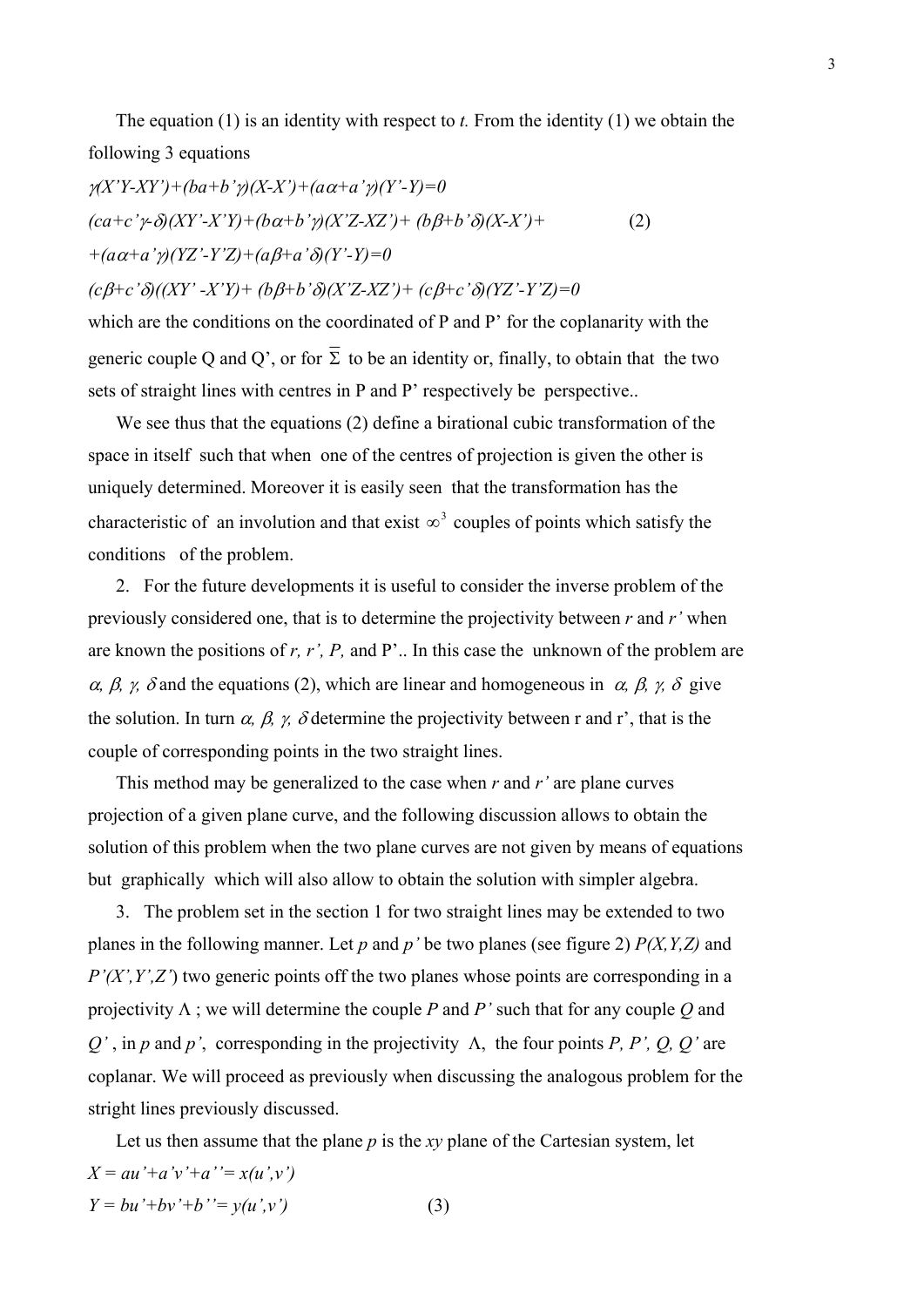The equation (1) is an identity with respect to *t.* From the identity (1) we obtain the following 3 equations

$$
\gamma(X'Y-XY') + (ba+b'\gamma)(X-X') + (a\alpha+a'\gamma)(Y'-Y) = 0
$$
  
(ca+c'\gamma-\delta)(XY'-X'Y) + (b\alpha+b'\gamma)(X'Z-XZ') + (b\beta+b'\delta)(X-X') +  
+(a\alpha+a'\gamma)(YZ'-Y'Z) + (a\beta+a'\delta)(Y'-Y) = 0  
(c\beta+c'\delta)((XY'-X'Y) + (b\beta+b'\delta)(X'Z-XZ') + (c\beta+c'\delta)(YZ'-Y'Z) = 0

which are the conditions on the coordinated of P and P' for the coplanarity with the generic couple Q and Q', or for  $\overline{\Sigma}$  to be an identity or, finally, to obtain that the two sets of straight lines with centres in P and P' respectively be perspective..

 We see thus that the equations (2) define a birational cubic transformation of the space in itselfsuch that when one of the centres of projection is given the other is uniquely determined. Moreover it is easily seen that the transformation has the characteristic of an involution and that exist  $\infty^3$  couples of points which satisfy the conditions of the problem.

2. For the future developments it is useful to consider the inverse problem of the previously considered one, that is to determine the projectivity between *r* and *r'* when are known the positions of *r, r', P,* and P'.. In this case the unknown of the problem are  $\alpha$ ,  $\beta$ ,  $\gamma$ ,  $\delta$  and the equations (2), which are linear and homogeneous in  $\alpha$ ,  $\beta$ ,  $\gamma$ ,  $\delta$  give the solution. In turn  $\alpha$ ,  $\beta$ ,  $\gamma$ ,  $\delta$  determine the projectivity between r and r', that is the couple of corresponding points in the two straight lines.

 This method may be generalized to the case when *r* and *r'* are plane curves projection of a given plane curve, and the following discussion allows to obtain the solution of this problem when the two plane curves are not given by means of equations but graphically which will also allow to obtain the solution with simpler algebra.

3. The problem set in the section 1 for two straight lines may be extended to two planes in the following manner. Let *p* and *p'* be two planes (see figure 2) *P(X,Y,Z)* and *P'(X',Y',Z'*) two generic points off the two planes whose points are corresponding in a projectivity  $\Lambda$ ; we will determine the couple *P* and *P'* such that for any couple *Q* and  $Q'$ , in *p* and *p'*, corresponding in the projectivity  $\Lambda$ , the four points *P*, *P'*, *Q*, *Q'* are coplanar. We will proceed as previously when discussing the analogous problem for the stright lines previously discussed.

 Let us then assume that the plane *p* is the *xy* plane of the Cartesian system, let  $X = au' + a'v' + a' = x(u',v')$  $Y = bu'+bv'+b' = y(u',v')$  (3)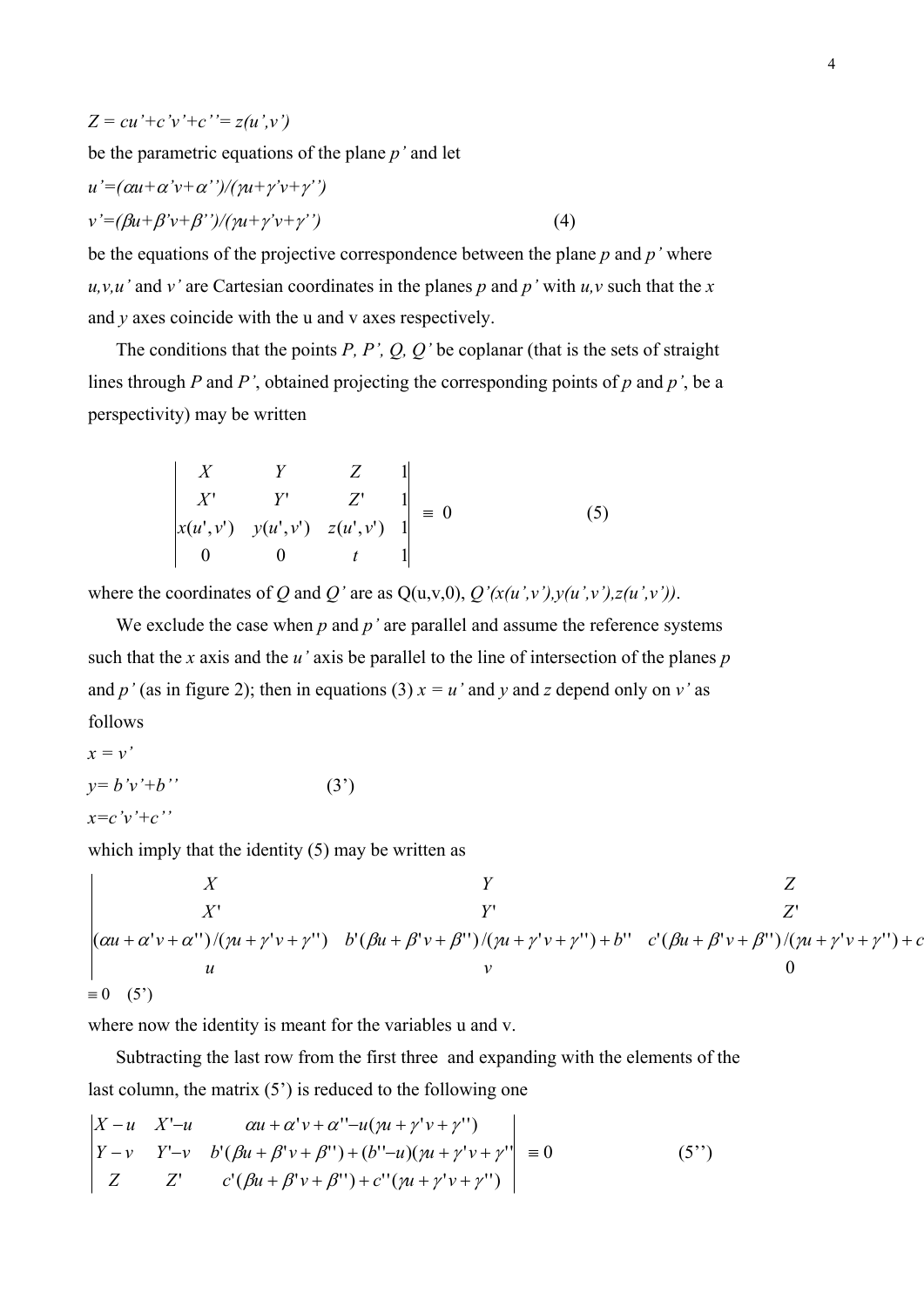$$
Z = cu' + c'v' + c' = z(u',v')
$$

be the parametric equations of the plane *p'* and let

$$
u'=(\alpha u+\alpha' v+\alpha'')/(\gamma u+\gamma' v+\gamma'')
$$
  

$$
v'=(\beta u+\beta' v+\beta'')/(\gamma u+\gamma' v+\gamma'')
$$
 (4)

be the equations of the projective correspondence between the plane *p* and *p'* where  $u, v, u'$  and  $v'$  are Cartesian coordinates in the planes *p* and *p'* with  $u, v$  such that the *x* and *y* axes coincide with the u and v axes respectively.

 The conditions that the points *P, P', Q, Q'* be coplanar (that is the sets of straight lines through *P* and *P'*, obtained projecting the corresponding points of *p* and *p'*, be a perspectivity) may be written

$$
\begin{vmatrix} X & Y & Z & 1 \ X' & Y' & Z' & 1 \ x(u',v') & y(u',v') & z(u',v') & 1 \ 0 & 0 & t & 1 \end{vmatrix} = 0
$$
 (5)

where the coordinates of *Q* and *Q'* are as  $Q(u,v,0)$ ,  $Q'(x(u',v'),y(u',v'),z(u',v'))$ .

We exclude the case when  $p$  and  $p'$  are parallel and assume the reference systems such that the *x* axis and the *u'* axis be parallel to the line of intersection of the planes *p* and *p*' (as in figure 2); then in equations (3)  $x = u'$  and *y* and *z* depend only on *v*' as follows

$$
x = v'
$$
  
\n
$$
y = b'v' + b''
$$
  
\n
$$
x = c'v' + c''
$$
\n(3')

which imply that the identity (5) may be written as

$$
\begin{vmatrix}\nX & Y & Z \\
X' & Y' & Z' \\
(\alpha u + \alpha' v + \alpha'') / (\gamma u + \gamma' v + \gamma'') & b' (\beta u + \beta' v + \beta'') / (\gamma u + \gamma' v + \gamma'') + b'' & c' (\beta u + \beta' v + \beta'') / (\gamma u + \gamma' v + \gamma'') + c \\
u & v & 0\n\end{vmatrix}
$$
\n
$$
= 0 \quad (5')
$$

where now the identity is meant for the variables u and v.

 Subtracting the last row from the first three and expanding with the elements of the last column, the matrix (5') is reduced to the following one

$$
\begin{vmatrix} X - u & X' - u & \alpha u + \alpha' v + \alpha'' - u(\gamma u + \gamma' v + \gamma'') \\ Y - v & Y' - v & b'(\beta u + \beta' v + \beta'') + (b'' - u)(\gamma u + \gamma' v + \gamma'') \\ Z & Z' & c'(\beta u + \beta' v + \beta'') + c''(\gamma u + \gamma' v + \gamma'') \end{vmatrix} \equiv 0
$$
 (5'')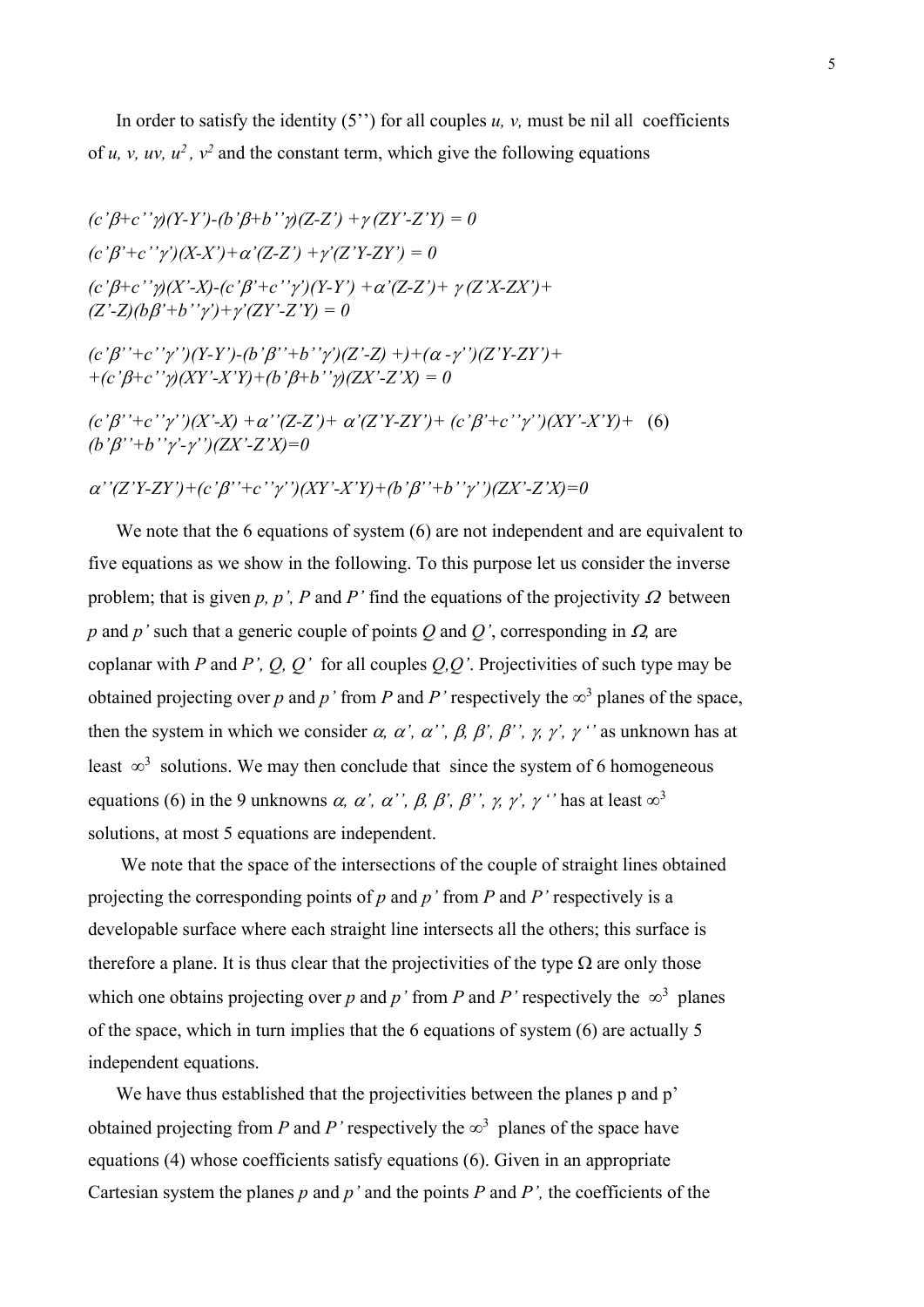In order to satisfy the identity  $(5'')$  for all couples  $u$ ,  $v$ , must be nil all coefficients of *u, v, uv, u<sup>2</sup>, v<sup>2</sup>* and the constant term, which give the following equations

 $(c' \beta + c' \gamma)(Y-Y') - (b' \beta + b' \gamma)(Z-Z') + \gamma (ZY' - Z'Y) = 0$  $(c' \beta' + c'' \gamma') (X-X') + \alpha' (Z-Z') + \gamma' (Z'Y-ZY') = 0$  $(c' \beta + c'')\gamma(X'-X) - (c' \beta' + c'')\gamma'(Y-Y') + \alpha'(Z-Z') + \gamma(Z'X-ZX') +$  $(Z'-Z)(\bar{b}B'+b''\gamma')+\gamma'(ZY'-Z'Y)=0$ 

 $(c'_{i}\beta'' + c''_{i}\gamma'')$  $(Y-Y')$ - $(b'\beta'' + b''\gamma')$  $(Z'-Z)$  +)+ $(\alpha - \gamma'')$  $(Z'Y-ZY')$ + *+(c'+c'')(XY'-X'Y)+(b'+b'')(ZX'-Z'X) = 0* 

 $(c' \beta'' + c'' \gamma'') (X' - X) + \alpha'' (Z - Z') + \alpha' (Z' Y - Z Y') + (c' \beta' + c'' \gamma'') (XY' - X' Y) + (6)$ *(b'''+b'''-'')(ZX'-Z'X)=0* 

 $\alpha'$ '(Z'Y-ZY')+(c' $\beta'$ '+c'' $\gamma'$ ')(XY'-X'Y)+(b' $\beta'$ '+b'' $\gamma'$ ')(ZX'-Z'X)=0

We note that the 6 equations of system (6) are not independent and are equivalent to five equations as we show in the following. To this purpose let us consider the inverse problem; that is given  $p$ ,  $p'$ ,  $P$  and  $P'$  find the equations of the projectivity  $\Omega$  between *p* and *p*' such that a generic couple of points *Q* and *Q*', corresponding in  $\Omega$ , are coplanar with *P* and *P', Q, Q'* for all couples *Q,Q'*. Projectivities of such type may be obtained projecting over *p* and *p* ' from *P* and *P* ' respectively the  $\infty^3$  planes of the space, then the system in which we consider  $\alpha$ ,  $\alpha'$ ,  $\alpha''$ ,  $\beta$ ,  $\beta'$ ,  $\beta''$ ,  $\gamma'$ ,  $\gamma''$  as unknown has at least  $\infty^3$  solutions. We may then conclude that since the system of 6 homogeneous equations (6) in the 9 unknowns  $\alpha$ ,  $\alpha'$ ,  $\alpha''$ ,  $\beta$ ,  $\beta'$ ,  $\beta''$ ,  $\gamma'$ ,  $\gamma'$  has at least  $\infty^3$ solutions, at most 5 equations are independent.

 We note that the space of the intersections of the couple of straight lines obtained projecting the corresponding points of *p* and *p'* from *P* and *P'* respectively is a developable surface where each straight line intersects all the others; this surface is therefore a plane. It is thus clear that the projectivities of the type  $\Omega$  are only those which one obtains projecting over p and p' from P and P' respectively the  $\infty^3$  planes of the space, which in turn implies that the 6 equations of system (6) are actually 5 independent equations.

We have thus established that the projectivities between the planes p and p' obtained projecting from *P* and *P'* respectively the  $\infty^3$  planes of the space have equations (4) whose coefficients satisfy equations (6). Given in an appropriate Cartesian system the planes  $p$  and  $p'$  and the points  $P$  and  $P'$ , the coefficients of the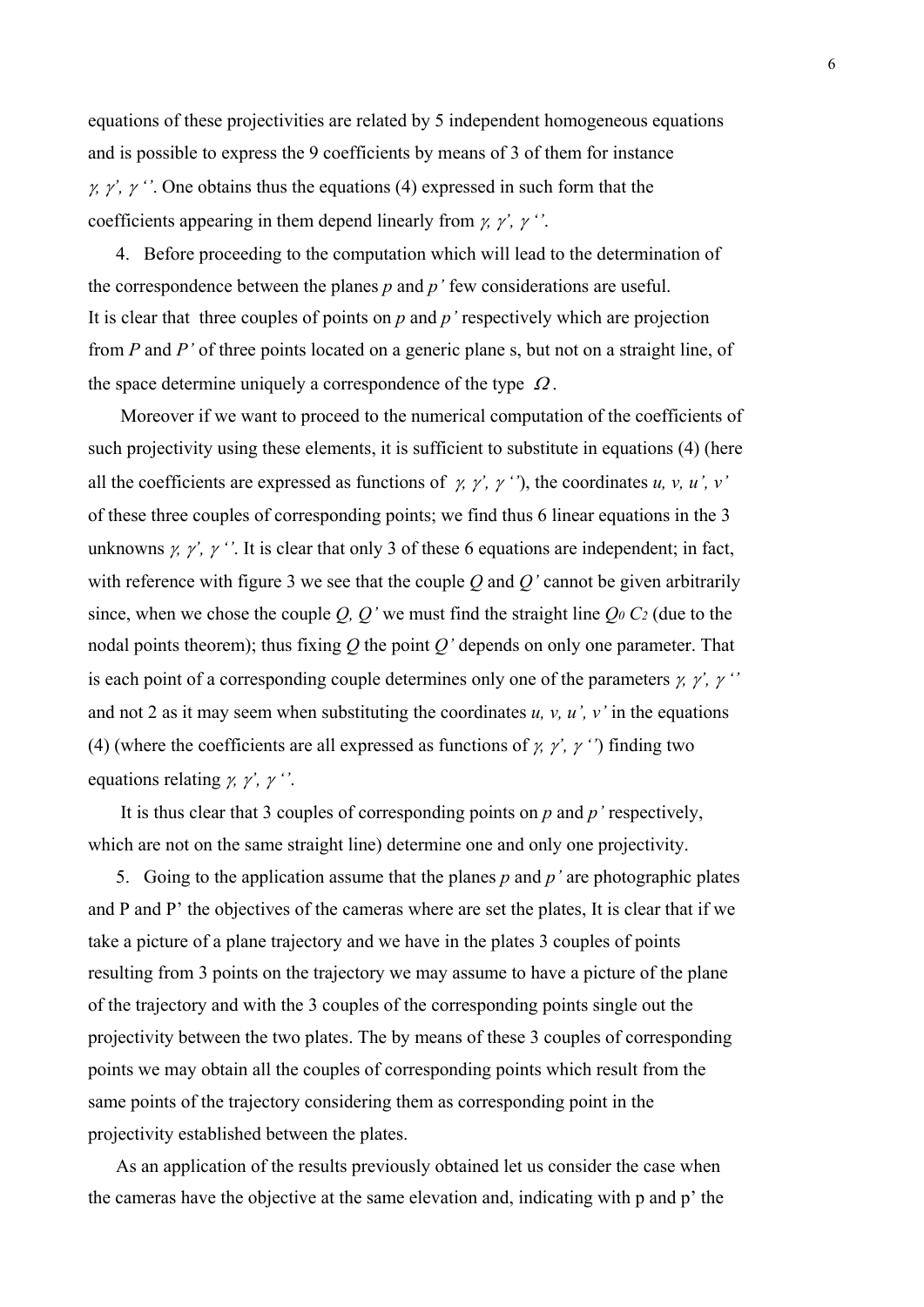equations of these projectivities are related by 5 independent homogeneous equations and is possible to express the 9 coefficients by means of 3 of them for instance  $\gamma$ ,  $\gamma'$ ,  $\gamma'$ . One obtains thus the equations (4) expressed in such form that the coefficients appearing in them depend linearly from  $\gamma$ ,  $\gamma'$ ,  $\gamma'$ .

4. Before proceeding to the computation which will lead to the determination of the correspondence between the planes *p* and *p'* few considerations are useful. It is clear that three couples of points on *p* and *p'* respectively which are projection from *P* and *P'* of three points located on a generic plane s, but not on a straight line, of the space determine uniquely a correspondence of the type  $\Omega$ .

 Moreover if we want to proceed to the numerical computation of the coefficients of such projectivity using these elements, it is sufficient to substitute in equations (4) (here all the coefficients are expressed as functions of  $\gamma$ ,  $\gamma'$ ,  $\gamma'$ ,  $\gamma'$ , the coordinates *u*, *v*, *u'*, *v'* of these three couples of corresponding points; we find thus 6 linear equations in the 3 unknowns  $\gamma$ ,  $\gamma'$ ,  $\gamma'$ . It is clear that only 3 of these 6 equations are independent; in fact, with reference with figure 3 we see that the couple *Q* and *Q'* cannot be given arbitrarily since, when we chose the couple  $Q$ ,  $Q'$  we must find the straight line  $Q_0 C_2$  (due to the nodal points theorem); thus fixing *Q* the point *Q'* depends on only one parameter. That is each point of a corresponding couple determines only one of the parameters  $\gamma$ ,  $\gamma'$ ,  $\gamma'$ and not 2 as it may seem when substituting the coordinates  $u$ ,  $v$ ,  $u'$ ,  $v'$  in the equations (4) (where the coefficients are all expressed as functions of  $\gamma$ ,  $\gamma'$ ,  $\gamma'$ ) finding two equations relating  $\gamma$ ,  $\gamma'$ ,  $\gamma'$ .

 It is thus clear that 3 couples of corresponding points on *p* and *p'* respectively, which are not on the same straight line) determine one and only one projectivity.

5. Going to the application assume that the planes *p* and *p'* are photographic plates and P and P' the objectives of the cameras where are set the plates, It is clear that if we take a picture of a plane trajectory and we have in the plates 3 couples of points resulting from 3 points on the trajectory we may assume to have a picture of the plane of the trajectory and with the 3 couples of the corresponding points single out the projectivity between the two plates. The by means of these 3 couples of corresponding points we may obtain all the couples of corresponding points which result from the same points of the trajectory considering them as corresponding point in the projectivity established between the plates.

 As an application of the results previously obtained let us consider the case when the cameras have the objective at the same elevation and, indicating with p and p' the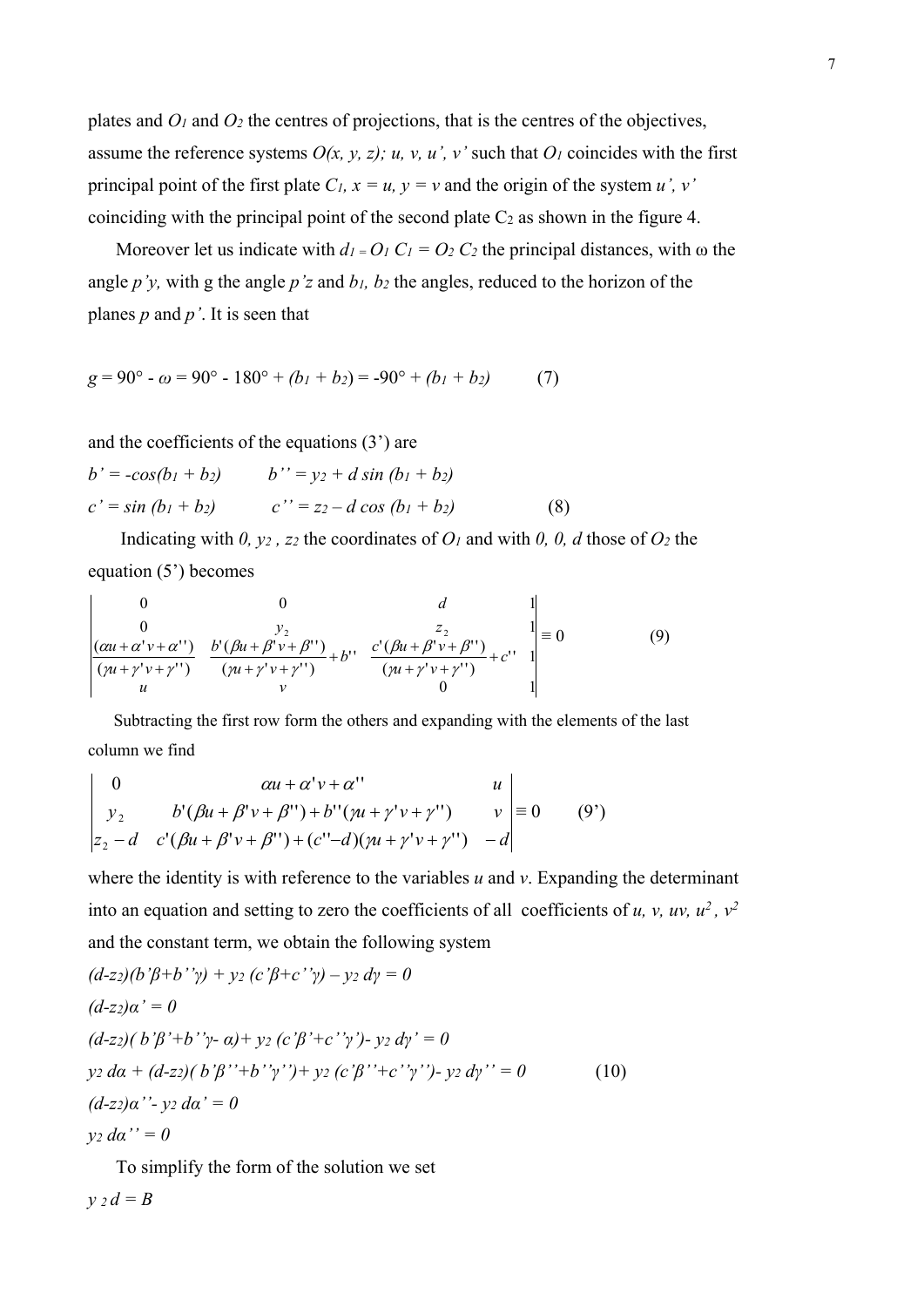plates and  $O_1$  and  $O_2$  the centres of projections, that is the centres of the objectives, assume the reference systems  $O(x, y, z)$ ; u, v, u', v' such that  $O<sub>l</sub>$  coincides with the first principal point of the first plate  $C_l$ ,  $x = u$ ,  $y = v$  and the origin of the system *u'*, v' coinciding with the principal point of the second plate  $C_2$  as shown in the figure 4.

Moreover let us indicate with  $d_1 = O_1 C_1 = O_2 C_2$  the principal distances, with  $\omega$  the angle *p'y,* with g the angle *p'z* and *b1, b2* the angles, reduced to the horizon of the planes *p* and *p'*. It is seen that

$$
g = 90^{\circ} - \omega = 90^{\circ} - 180^{\circ} + (b_1 + b_2) = -90^{\circ} + (b_1 + b_2)
$$
 (7)

and the coefficients of the equations (3') are

$$
b' = -cos(b_1 + b_2) \qquad b'' = y_2 + d \sin (b_1 + b_2)
$$
  

$$
c' = \sin (b_1 + b_2) \qquad c'' = z_2 - d \cos (b_1 + b_2)
$$
 (8)

 Indicating with *0, y2 , z2* the coordinates of *O1* and with *0, 0, d* those of *O2* the equation (5') becomes

$$
\begin{vmatrix}\n0 & 0 & d & 1 \\
0 & y_2 & 1 \\
\frac{(au + \alpha'v + \alpha'')}{(\gamma u + \gamma'v + \gamma'')} & \frac{b'(\beta u + \beta'v + \beta'')}{(\gamma u + \gamma'v + \gamma'')} + b'' & \frac{c'(\beta u + \beta'v + \beta'')}{(\gamma u + \gamma'v + \gamma'')} + c'' & 1 \\
u & v & 0 & 1\n\end{vmatrix} \equiv 0
$$
\n(9)

 Subtracting the first row form the others and expanding with the elements of the last column we find

$$
\begin{vmatrix}\n0 & \alpha u + \alpha' v + \alpha' & u \\
y_2 & b'(\beta u + \beta' v + \beta'') + b''(\gamma u + \gamma' v + \gamma'') & v \\
z_2 - d & c'(\beta u + \beta' v + \beta'') + (c'' - d)(\gamma u + \gamma' v + \gamma'') & -d\n\end{vmatrix} \equiv 0 \qquad (9')
$$

where the identity is with reference to the variables *u* and *v*. Expanding the determinant into an equation and setting to zero the coefficients of all coefficients of *u*, *v*, *uv*,  $u^2$ ,  $v^2$ and the constant term, we obtain the following system

$$
(d-z_2)(b'\beta+b''\gamma) + y_2 (c'\beta+c''\gamma) - y_2 d\gamma = 0
$$
  
\n
$$
(d-z_2)\alpha' = 0
$$
  
\n
$$
(d-z_2)(b'\beta'+b''\gamma-a) + y_2 (c'\beta'+c''\gamma') - y_2 d\gamma' = 0
$$
  
\n
$$
y_2 d\alpha + (d-z_2)(b'\beta''+b''\gamma'') + y_2 (c'\beta''+c''\gamma'') - y_2 d\gamma'' = 0
$$
  
\n
$$
(d-z_2)\alpha'' - y_2 d\alpha' = 0
$$
  
\n
$$
y_2 d\alpha'' = 0
$$
  
\n(10)

 To simplify the form of the solution we set *y 2 d = B*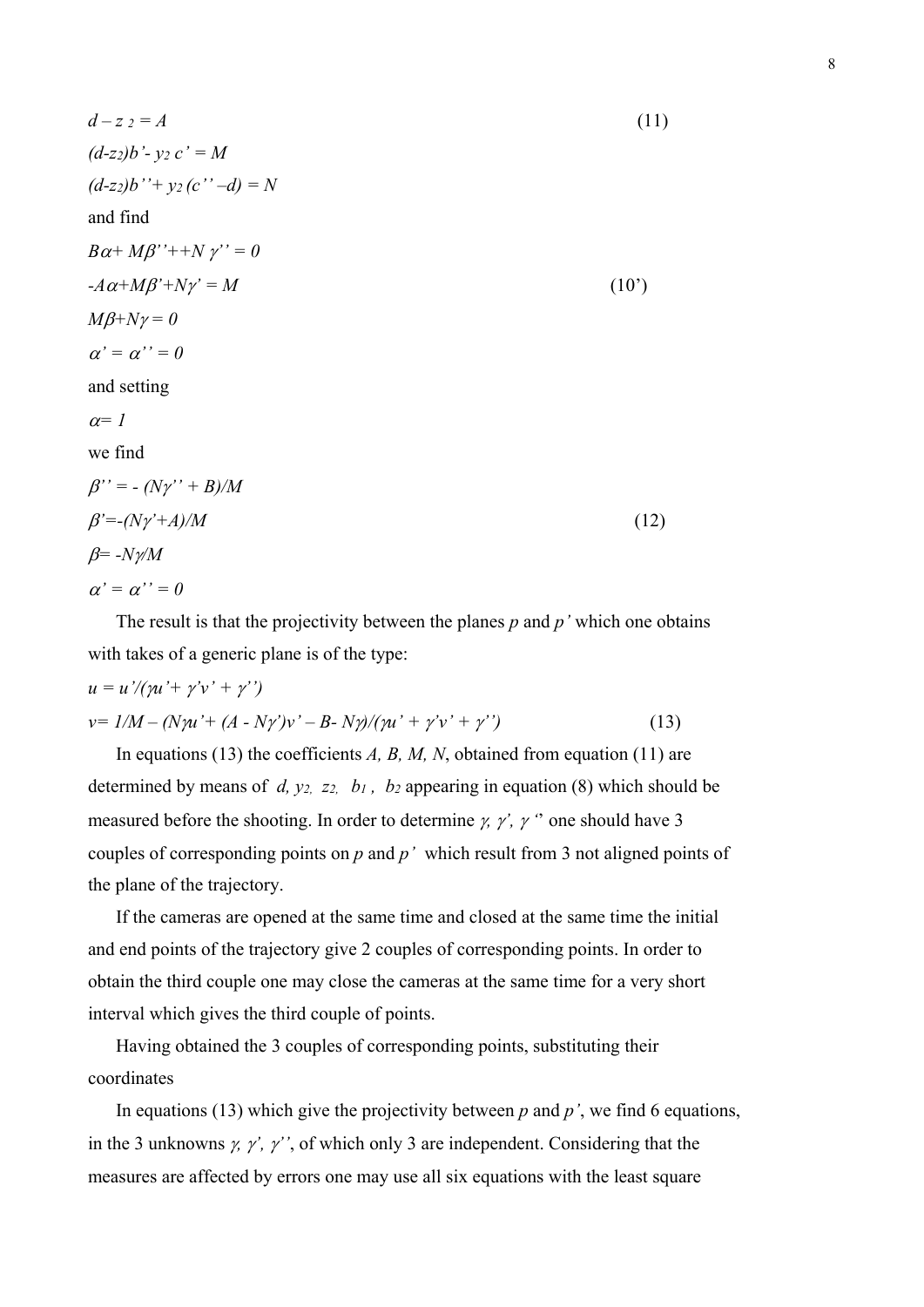$$
d - z = A
$$
\n
$$
(d-z) b' - yz c' = M
$$
\n
$$
(d-z) b'' + yz (c'' - d) = N
$$
\nand find\n
$$
B\alpha + M\beta' + N\gamma' = 0
$$
\n
$$
-A\alpha + M\beta' + N\gamma' = M
$$
\n
$$
M\beta + N\gamma = 0
$$
\n
$$
\alpha' = \alpha'' = 0
$$
\nand setting\n
$$
\alpha = 1
$$
\nwe find\n
$$
\beta'' = -(N\gamma'' + B)/M
$$
\n
$$
\beta' = -(N\gamma' + A)/M
$$
\n
$$
\beta = -N\gamma/M
$$
\n
$$
\alpha' = \alpha'' = 0
$$
\n(12)

 The result is that the projectivity between the planes *p* and *p'* which one obtains with takes of a generic plane is of the type:

$$
u = u'/(pu' + \gamma'v' + \gamma'')
$$
  

$$
v = I/M - (N\gamma u' + (A - N\gamma')v' - B - N\gamma)/(\gamma u' + \gamma'v' + \gamma'')
$$
 (13)

In equations (13) the coefficients *A, B, M, N,* obtained from equation (11) are determined by means of *d, y2, z2, b1 , b2* appearing in equation (8) which should be measured before the shooting. In order to determine  $\gamma$ ,  $\gamma'$ ,  $\gamma''$  one should have 3 couples of corresponding points on *p* and *p'* which result from 3 not aligned points of the plane of the trajectory.

 If the cameras are opened at the same time and closed at the same time the initial and end points of the trajectory give 2 couples of corresponding points. In order to obtain the third couple one may close the cameras at the same time for a very short interval which gives the third couple of points.

 Having obtained the 3 couples of corresponding points, substituting their coordinates

 In equations (13) which give the projectivity between *p* and *p'*, we find 6 equations, in the 3 unknowns  $\gamma$ ,  $\gamma'$ ,  $\gamma''$ , of which only 3 are independent. Considering that the measures are affected by errors one may use all six equations with the least square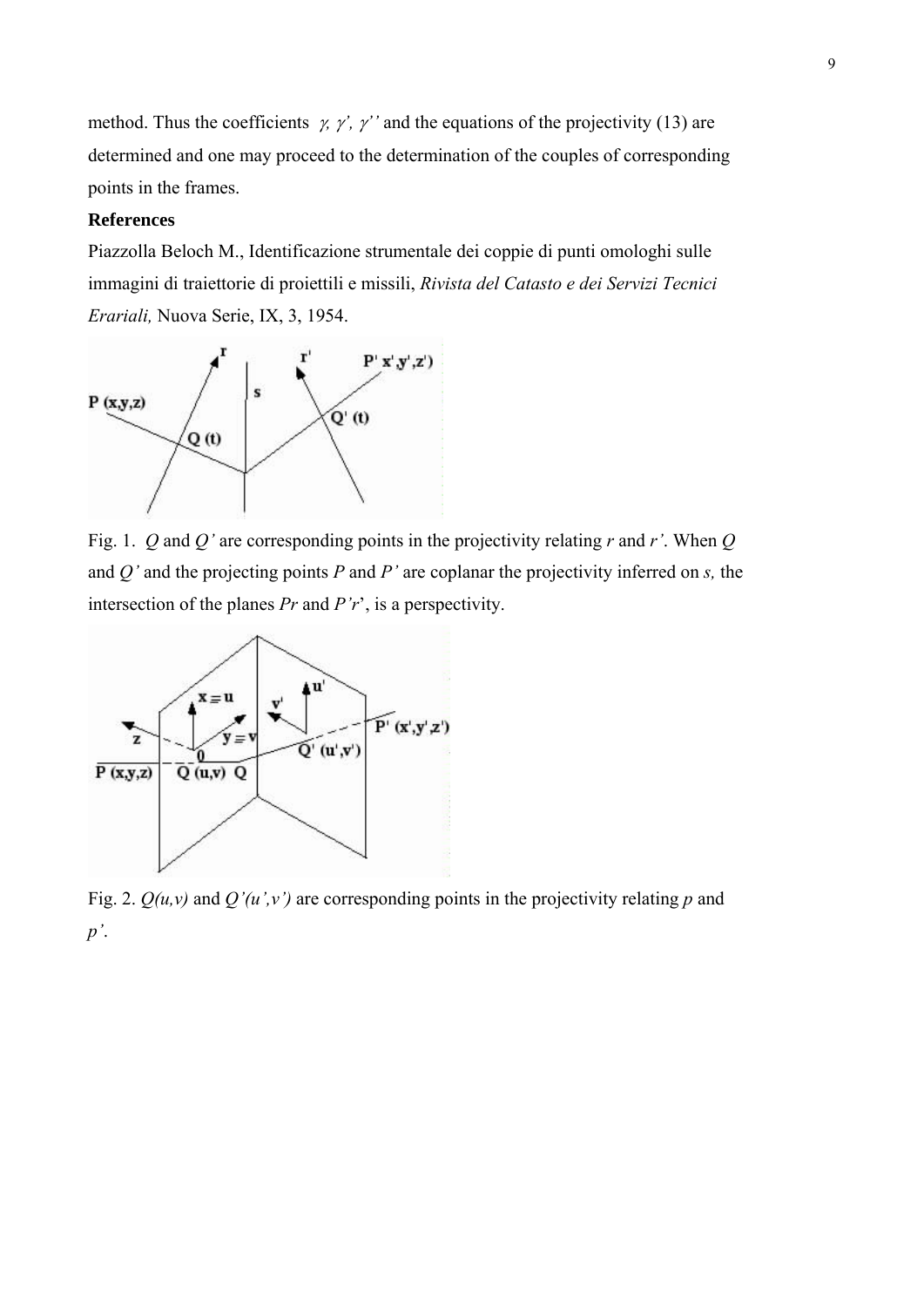method. Thus the coefficients  $\gamma$ ,  $\gamma'$ ,  $\gamma''$  and the equations of the projectivity (13) are determined and one may proceed to the determination of the couples of corresponding points in the frames.

## **References**

Piazzolla Beloch M., Identificazione strumentale dei coppie di punti omologhi sulle immagini di traiettorie di proiettili e missili, *Rivista del Catasto e dei Servizi Tecnici Erariali,* Nuova Serie, IX, 3, 1954.



Fig. 1. *Q* and *Q'* are corresponding points in the projectivity relating *r* and *r'*. When *Q* and *Q'* and the projecting points *P* and *P'* are coplanar the projectivity inferred on *s,* the intersection of the planes *Pr* and *P'r*', is a perspectivity.



Fig. 2. *Q(u,v)* and *Q'(u',v')* are corresponding points in the projectivity relating *p* and *p'*.